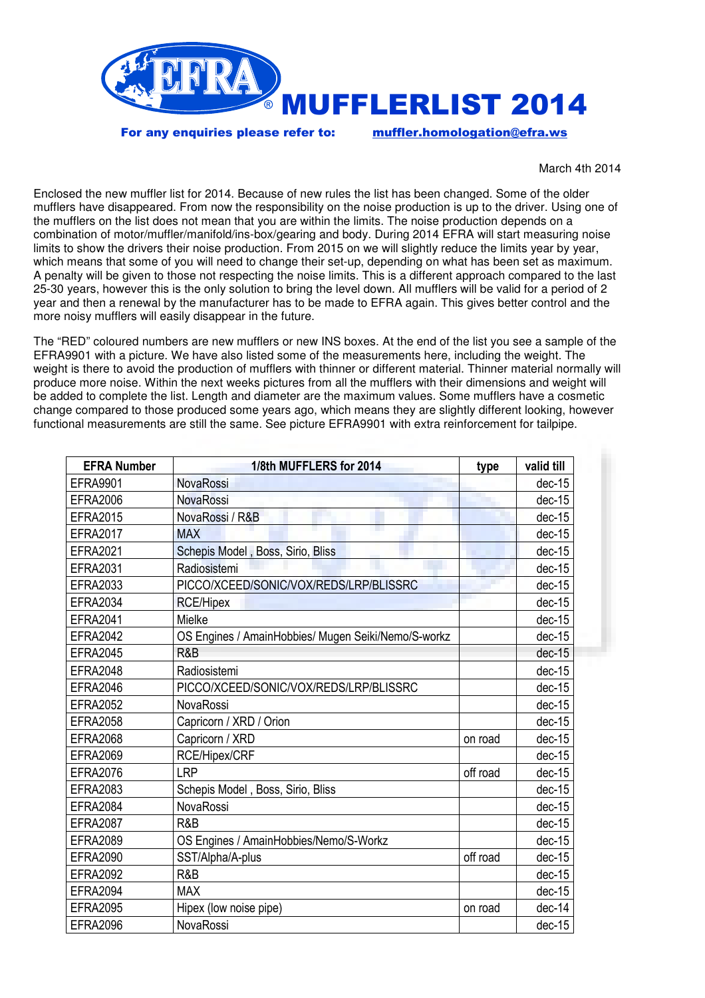

For any enquiries please refer to: muffler.homologation@efra.ws

March 4th 2014

Enclosed the new muffler list for 2014. Because of new rules the list has been changed. Some of the older mufflers have disappeared. From now the responsibility on the noise production is up to the driver. Using one of the mufflers on the list does not mean that you are within the limits. The noise production depends on a combination of motor/muffler/manifold/ins-box/gearing and body. During 2014 EFRA will start measuring noise limits to show the drivers their noise production. From 2015 on we will slightly reduce the limits year by year, which means that some of you will need to change their set-up, depending on what has been set as maximum. A penalty will be given to those not respecting the noise limits. This is a different approach compared to the last 25-30 years, however this is the only solution to bring the level down. All mufflers will be valid for a period of 2 year and then a renewal by the manufacturer has to be made to EFRA again. This gives better control and the more noisy mufflers will easily disappear in the future.

The "RED" coloured numbers are new mufflers or new INS boxes. At the end of the list you see a sample of the EFRA9901 with a picture. We have also listed some of the measurements here, including the weight. The weight is there to avoid the production of mufflers with thinner or different material. Thinner material normally will produce more noise. Within the next weeks pictures from all the mufflers with their dimensions and weight will be added to complete the list. Length and diameter are the maximum values. Some mufflers have a cosmetic change compared to those produced some years ago, which means they are slightly different looking, however functional measurements are still the same. See picture EFRA9901 with extra reinforcement for tailpipe.

| <b>EFRA Number</b> | 1/8th MUFFLERS for 2014                             | type     | valid till |
|--------------------|-----------------------------------------------------|----------|------------|
| <b>EFRA9901</b>    | NovaRossi                                           |          | $dec-15$   |
| <b>EFRA2006</b>    | <b>NovaRossi</b>                                    |          | $dec-15$   |
| <b>EFRA2015</b>    | NovaRossi / R&B                                     |          | $dec-15$   |
| <b>EFRA2017</b>    | ш<br><b>MAX</b>                                     |          | $dec-15$   |
| <b>EFRA2021</b>    | Schepis Model, Boss, Sirio, Bliss                   |          | $dec-15$   |
| <b>EFRA2031</b>    | Radiosistemi                                        |          | $dec-15$   |
| EFRA2033           | PICCO/XCEED/SONIC/VOX/REDS/LRP/BLISSRC              |          | $dec-15$   |
| <b>EFRA2034</b>    | <b>RCE/Hipex</b>                                    |          | $dec-15$   |
| <b>EFRA2041</b>    | Mielke                                              |          | $dec-15$   |
| <b>EFRA2042</b>    | OS Engines / AmainHobbies/ Mugen Seiki/Nemo/S-workz |          | $dec-15$   |
| <b>EFRA2045</b>    | R&B                                                 |          | $dec-15$   |
| <b>EFRA2048</b>    | Radiosistemi                                        |          | dec-15     |
| <b>EFRA2046</b>    | PICCO/XCEED/SONIC/VOX/REDS/LRP/BLISSRC              |          | $dec-15$   |
| <b>EFRA2052</b>    | NovaRossi                                           |          | $dec-15$   |
| <b>EFRA2058</b>    | Capricorn / XRD / Orion                             |          | $dec-15$   |
| <b>EFRA2068</b>    | Capricorn / XRD                                     | on road  | $dec-15$   |
| <b>EFRA2069</b>    | RCE/Hipex/CRF                                       |          | $dec-15$   |
| <b>EFRA2076</b>    | <b>LRP</b>                                          | off road | $dec-15$   |
| <b>EFRA2083</b>    | Schepis Model, Boss, Sirio, Bliss                   |          | $dec-15$   |
| <b>EFRA2084</b>    | NovaRossi                                           |          | $dec-15$   |
| <b>EFRA2087</b>    | R&B                                                 |          | $dec-15$   |
| <b>EFRA2089</b>    | OS Engines / AmainHobbies/Nemo/S-Workz              |          | $dec-15$   |
| <b>EFRA2090</b>    | SST/Alpha/A-plus                                    | off road | $dec-15$   |
| <b>EFRA2092</b>    | R&B                                                 |          | $dec-15$   |
| <b>EFRA2094</b>    | <b>MAX</b>                                          |          | $dec-15$   |
| <b>EFRA2095</b>    | Hipex (low noise pipe)                              | on road  | dec-14     |
| <b>EFRA2096</b>    | NovaRossi                                           |          | $dec-15$   |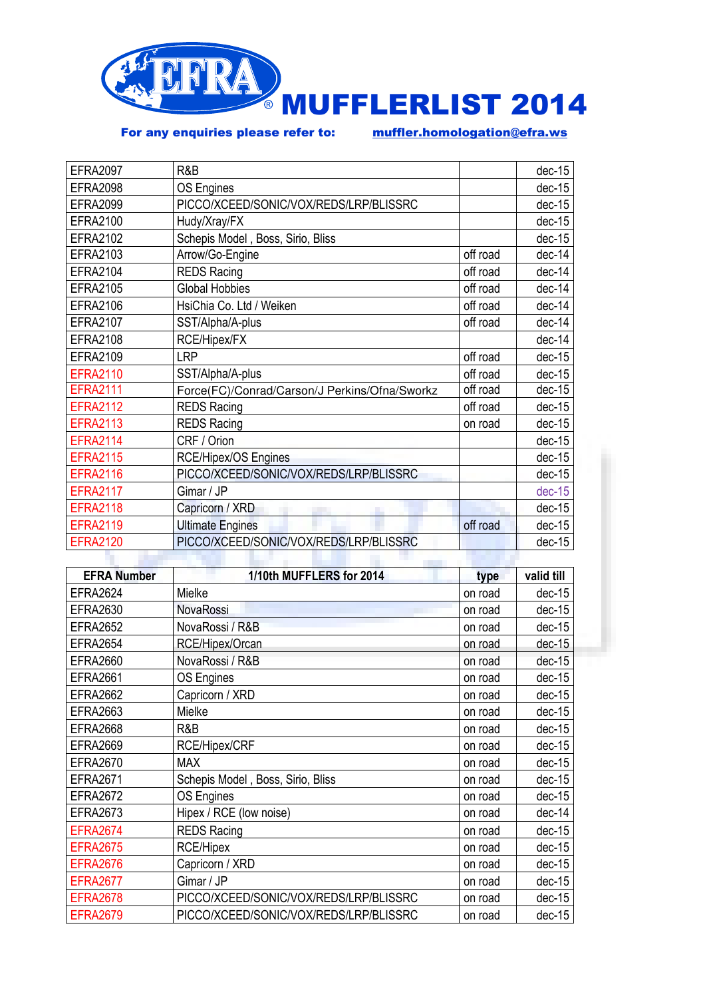

For any enquiries please refer to: muffler.homologation@efra.ws

| R&B                                           |          | $dec-15$ |
|-----------------------------------------------|----------|----------|
|                                               |          |          |
| <b>OS Engines</b>                             |          | $dec-15$ |
| PICCO/XCEED/SONIC/VOX/REDS/LRP/BLISSRC        |          | $dec-15$ |
| Hudy/Xray/FX                                  |          | $dec-15$ |
| Schepis Model, Boss, Sirio, Bliss             |          | $dec-15$ |
| Arrow/Go-Engine                               | off road | $dec-14$ |
| <b>REDS Racing</b>                            | off road | dec-14   |
| <b>Global Hobbies</b>                         | off road | $dec-14$ |
| HsiChia Co. Ltd / Weiken                      | off road | $dec-14$ |
| SST/Alpha/A-plus                              | off road | $dec-14$ |
| RCE/Hipex/FX                                  |          | $dec-14$ |
| <b>LRP</b>                                    | off road | $dec-15$ |
| SST/Alpha/A-plus                              | off road | $dec-15$ |
| Force(FC)/Conrad/Carson/J Perkins/Ofna/Sworkz | off road | $dec-15$ |
| <b>REDS Racing</b>                            | off road | $dec-15$ |
| <b>REDS Racing</b><br>on road                 |          | $dec-15$ |
| CRF / Orion                                   |          | $dec-15$ |
| RCE/Hipex/OS Engines                          |          | $dec-15$ |
| PICCO/XCEED/SONIC/VOX/REDS/LRP/BLISSRC        |          | $dec-15$ |
| Gimar / JP                                    |          | $dec-15$ |
| Capricorn / XRD                               |          | $dec-15$ |
| <b>Ultimate Engines</b>                       | off road | $dec-15$ |
| PICCO/XCEED/SONIC/VOX/REDS/LRP/BLISSRC        |          | $dec-15$ |
|                                               |          |          |

| <b>EFRA Number</b> | 1/10th MUFFLERS for 2014               | type    | valid till |
|--------------------|----------------------------------------|---------|------------|
| <b>EFRA2624</b>    | Mielke                                 | on road | $dec-15$   |
| <b>EFRA2630</b>    | NovaRossi                              | on road | $dec-15$   |
| <b>EFRA2652</b>    | NovaRossi / R&B                        | on road | $dec-15$   |
| <b>EFRA2654</b>    | RCE/Hipex/Orcan                        | on road | $dec-15$   |
| <b>EFRA2660</b>    | NovaRossi / R&B                        | on road | $dec-15$   |
| <b>EFRA2661</b>    | <b>OS Engines</b>                      | on road | $dec-15$   |
| <b>EFRA2662</b>    | Capricorn / XRD                        | on road | $dec-15$   |
| <b>EFRA2663</b>    | Mielke                                 | on road | $dec-15$   |
| <b>EFRA2668</b>    | R&B                                    | on road | $dec-15$   |
| <b>EFRA2669</b>    | RCE/Hipex/CRF                          | on road | $dec-15$   |
| <b>EFRA2670</b>    | <b>MAX</b>                             | on road | $dec-15$   |
| <b>EFRA2671</b>    | Schepis Model, Boss, Sirio, Bliss      | on road | $dec-15$   |
| <b>EFRA2672</b>    | OS Engines                             | on road | $dec-15$   |
| <b>EFRA2673</b>    | Hipex / RCE (low noise)                | on road | dec-14     |
| <b>EFRA2674</b>    | <b>REDS Racing</b>                     | on road | $dec-15$   |
| <b>EFRA2675</b>    | <b>RCE/Hipex</b>                       | on road | $dec-15$   |
| <b>EFRA2676</b>    | Capricorn / XRD                        | on road | $dec-15$   |
| <b>EFRA2677</b>    | Gimar / JP                             | on road | $dec-15$   |
| <b>EFRA2678</b>    | PICCO/XCEED/SONIC/VOX/REDS/LRP/BLISSRC | on road | $dec-15$   |
| <b>EFRA2679</b>    | PICCO/XCEED/SONIC/VOX/REDS/LRP/BLISSRC | on road | $dec-15$   |